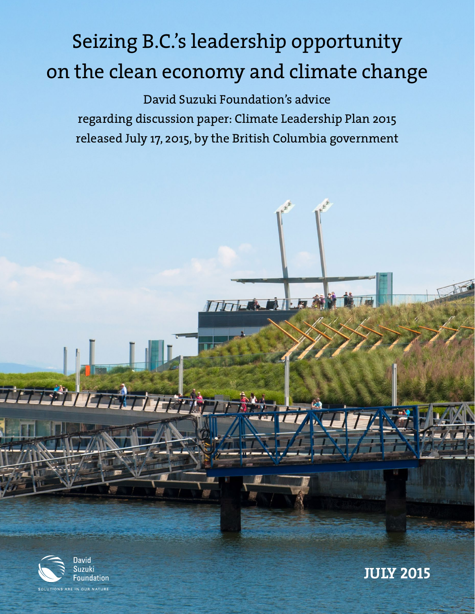# Seizing B.C.'s leadership opportunity on the clean economy and climate change

David Suzuki Foundation's advice regarding discussion paper: Climate Leadership Plan 2015 released July 17, 2015, by the British Columbia government

TITICAL.



**JULY 2015**

SOLUTIONS ARE IN OUR NATURE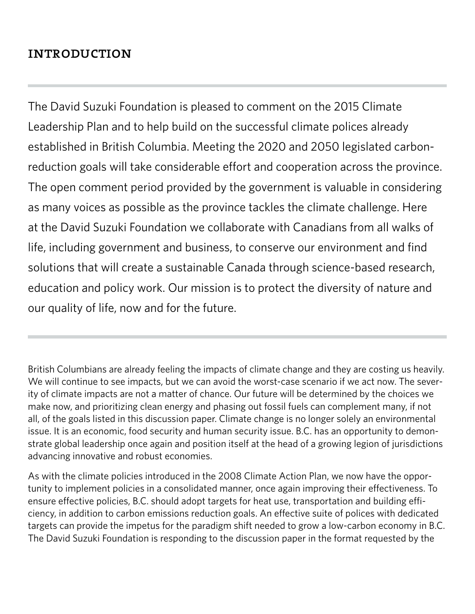# **INTRODUCTION**

The David Suzuki Foundation is pleased to comment on the 2015 Climate Leadership Plan and to help build on the successful climate polices already established in British Columbia. Meeting the 2020 and 2050 legislated carbonreduction goals will take considerable effort and cooperation across the province. The open comment period provided by the government is valuable in considering as many voices as possible as the province tackles the climate challenge. Here at the David Suzuki Foundation we collaborate with Canadians from all walks of life, including government and business, to conserve our environment and find solutions that will create a sustainable Canada through science-based research, education and policy work. Our mission is to protect the diversity of nature and our quality of life, now and for the future.

British Columbians are already feeling the impacts of climate change and they are costing us heavily. We will continue to see impacts, but we can avoid the worst-case scenario if we act now. The severity of climate impacts are not a matter of chance. Our future will be determined by the choices we make now, and prioritizing clean energy and phasing out fossil fuels can complement many, if not all, of the goals listed in this discussion paper. Climate change is no longer solely an environmental issue. It is an economic, food security and human security issue. B.C. has an opportunity to demonstrate global leadership once again and position itself at the head of a growing legion of jurisdictions advancing innovative and robust economies.

As with the climate policies introduced in the 2008 Climate Action Plan, we now have the opportunity to implement policies in a consolidated manner, once again improving their effectiveness. To ensure effective policies, B.C. should adopt targets for heat use, transportation and building efficiency, in addition to carbon emissions reduction goals. An effective suite of polices with dedicated targets can provide the impetus for the paradigm shift needed to grow a low-carbon economy in B.C. The David Suzuki Foundation is responding to the discussion paper in the format requested by the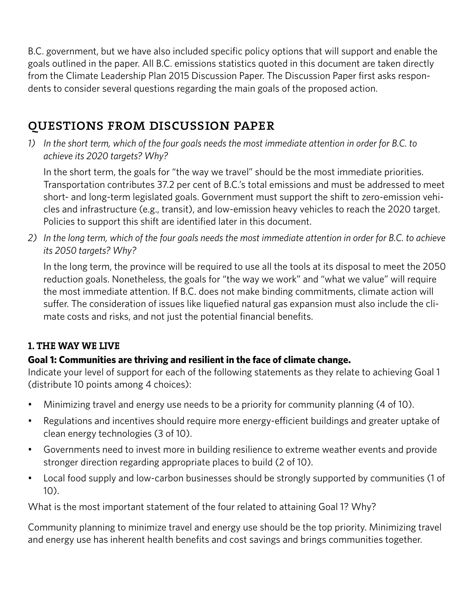B.C. government, but we have also included specific policy options that will support and enable the goals outlined in the paper. All B.C. emissions statistics quoted in this document are taken directly from the Climate Leadership Plan 2015 Discussion Paper. The Discussion Paper first asks respondents to consider several questions regarding the main goals of the proposed action.

# questions from discussion paper

*1) In the short term, which of the four goals needs the most immediate attention in order for B.C. to achieve its 2020 targets? Why?*

In the short term, the goals for "the way we travel" should be the most immediate priorities. Transportation contributes 37.2 per cent of B.C.'s total emissions and must be addressed to meet short- and long-term legislated goals. Government must support the shift to zero-emission vehicles and infrastructure (e.g., transit), and low-emission heavy vehicles to reach the 2020 target. Policies to support this shift are identified later in this document.

*2) In the long term, which of the four goals needs the most immediate attention in order for B.C. to achieve its 2050 targets? Why?*

In the long term, the province will be required to use all the tools at its disposal to meet the 2050 reduction goals. Nonetheless, the goals for "the way we work" and "what we value" will require the most immediate attention. If B.C. does not make binding commitments, climate action will suffer. The consideration of issues like liquefied natural gas expansion must also include the climate costs and risks, and not just the potential financial benefits.

# **1. THE WAY WE LIVE**

# **Goal 1: Communities are thriving and resilient in the face of climate change.**

Indicate your level of support for each of the following statements as they relate to achieving Goal 1 (distribute 10 points among 4 choices):

- Minimizing travel and energy use needs to be a priority for community planning (4 of 10).
- Regulations and incentives should require more energy-efficient buildings and greater uptake of clean energy technologies (3 of 10).
- Governments need to invest more in building resilience to extreme weather events and provide stronger direction regarding appropriate places to build (2 of 10).
- Local food supply and low-carbon businesses should be strongly supported by communities (1 of 10).

What is the most important statement of the four related to attaining Goal 1? Why?

Community planning to minimize travel and energy use should be the top priority. Minimizing travel and energy use has inherent health benefits and cost savings and brings communities together.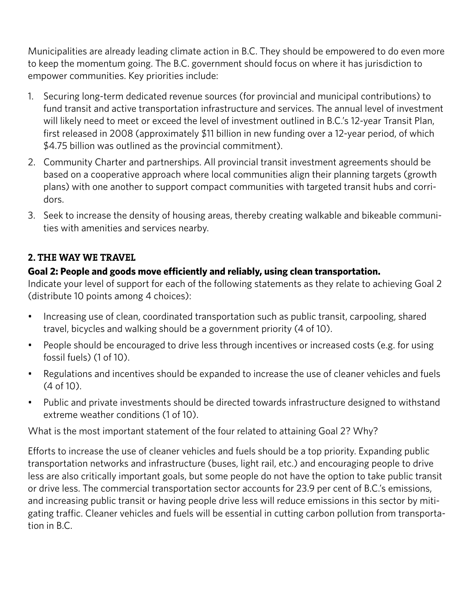Municipalities are already leading climate action in B.C. They should be empowered to do even more to keep the momentum going. The B.C. government should focus on where it has jurisdiction to empower communities. Key priorities include:

- 1. Securing long-term dedicated revenue sources (for provincial and municipal contributions) to fund transit and active transportation infrastructure and services. The annual level of investment will likely need to meet or exceed the level of investment outlined in B.C.'s 12-year Transit Plan, first released in 2008 (approximately \$11 billion in new funding over a 12-year period, of which \$4.75 billion was outlined as the provincial commitment).
- 2. Community Charter and partnerships. All provincial transit investment agreements should be based on a cooperative approach where local communities align their planning targets (growth plans) with one another to support compact communities with targeted transit hubs and corridors.
- 3. Seek to increase the density of housing areas, thereby creating walkable and bikeable communities with amenities and services nearby.

## **2. THE WAY WE TRAVEL**

## **Goal 2: People and goods move efficiently and reliably, using clean transportation.**

Indicate your level of support for each of the following statements as they relate to achieving Goal 2 (distribute 10 points among 4 choices):

- Increasing use of clean, coordinated transportation such as public transit, carpooling, shared travel, bicycles and walking should be a government priority (4 of 10).
- People should be encouraged to drive less through incentives or increased costs (e.g. for using fossil fuels) (1 of 10).
- Regulations and incentives should be expanded to increase the use of cleaner vehicles and fuels (4 of 10).
- Public and private investments should be directed towards infrastructure designed to withstand extreme weather conditions (1 of 10).

What is the most important statement of the four related to attaining Goal 2? Why?

Efforts to increase the use of cleaner vehicles and fuels should be a top priority. Expanding public transportation networks and infrastructure (buses, light rail, etc.) and encouraging people to drive less are also critically important goals, but some people do not have the option to take public transit or drive less. The commercial transportation sector accounts for 23.9 per cent of B.C.'s emissions, and increasing public transit or having people drive less will reduce emissions in this sector by mitigating traffic. Cleaner vehicles and fuels will be essential in cutting carbon pollution from transportation in B.C.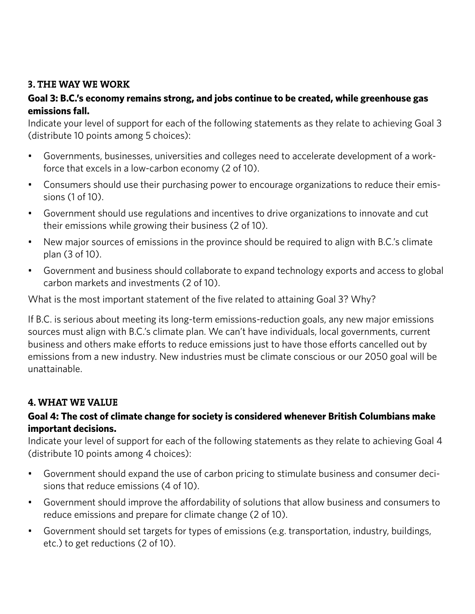## **3. THE WAY WE WORK**

## **Goal 3: B.C.'s economy remains strong, and jobs continue to be created, while greenhouse gas emissions fall.**

Indicate your level of support for each of the following statements as they relate to achieving Goal 3 (distribute 10 points among 5 choices):

- • Governments, businesses, universities and colleges need to accelerate development of a workforce that excels in a low-carbon economy (2 of 10).
- Consumers should use their purchasing power to encourage organizations to reduce their emissions (1 of 10).
- • Government should use regulations and incentives to drive organizations to innovate and cut their emissions while growing their business (2 of 10).
- New major sources of emissions in the province should be required to align with B.C.'s climate plan (3 of 10).
- Government and business should collaborate to expand technology exports and access to global carbon markets and investments (2 of 10).

What is the most important statement of the five related to attaining Goal 3? Why?

If B.C. is serious about meeting its long-term emissions-reduction goals, any new major emissions sources must align with B.C.'s climate plan. We can't have individuals, local governments, current business and others make efforts to reduce emissions just to have those efforts cancelled out by emissions from a new industry. New industries must be climate conscious or our 2050 goal will be unattainable.

# **4. WHAT WE VALUE**

# **Goal 4: The cost of climate change for society is considered whenever British Columbians make important decisions.**

Indicate your level of support for each of the following statements as they relate to achieving Goal 4 (distribute 10 points among 4 choices):

- Government should expand the use of carbon pricing to stimulate business and consumer decisions that reduce emissions (4 of 10).
- • Government should improve the affordability of solutions that allow business and consumers to reduce emissions and prepare for climate change (2 of 10).
- • Government should set targets for types of emissions (e.g. transportation, industry, buildings, etc.) to get reductions (2 of 10).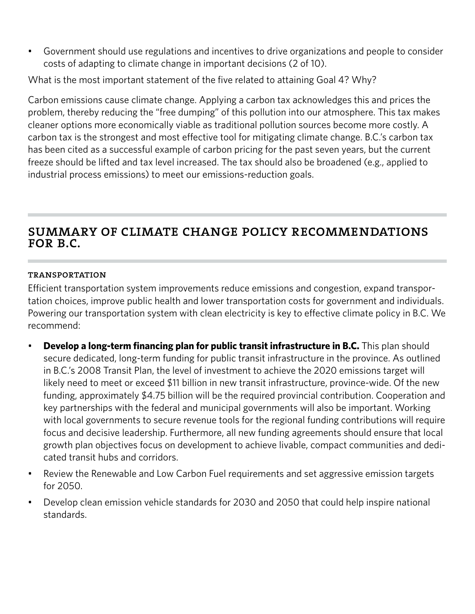• Government should use regulations and incentives to drive organizations and people to consider costs of adapting to climate change in important decisions (2 of 10).

What is the most important statement of the five related to attaining Goal 4? Why?

Carbon emissions cause climate change. Applying a carbon tax acknowledges this and prices the problem, thereby reducing the "free dumping" of this pollution into our atmosphere. This tax makes cleaner options more economically viable as traditional pollution sources become more costly. A carbon tax is the strongest and most effective tool for mitigating climate change. B.C.'s carbon tax has been cited as a successful example of carbon pricing for the past seven years, but the current freeze should be lifted and tax level increased. The tax should also be broadened (e.g., applied to industrial process emissions) to meet our emissions-reduction goals.

# summary of climate change policy recommendations FOR B.C.

#### **TRANSPORTATION**

Efficient transportation system improvements reduce emissions and congestion, expand transportation choices, improve public health and lower transportation costs for government and individuals. Powering our transportation system with clean electricity is key to effective climate policy in B.C. We recommend:

- **Develop a long-term financing plan for public transit infrastructure in B.C.** This plan should secure dedicated, long-term funding for public transit infrastructure in the province. As outlined in B.C.'s 2008 Transit Plan, the level of investment to achieve the 2020 emissions target will likely need to meet or exceed \$11 billion in new transit infrastructure, province-wide. Of the new funding, approximately \$4.75 billion will be the required provincial contribution. Cooperation and key partnerships with the federal and municipal governments will also be important. Working with local governments to secure revenue tools for the regional funding contributions will require focus and decisive leadership. Furthermore, all new funding agreements should ensure that local growth plan objectives focus on development to achieve livable, compact communities and dedicated transit hubs and corridors.
- Review the Renewable and Low Carbon Fuel requirements and set aggressive emission targets for 2050.
- Develop clean emission vehicle standards for 2030 and 2050 that could help inspire national standards.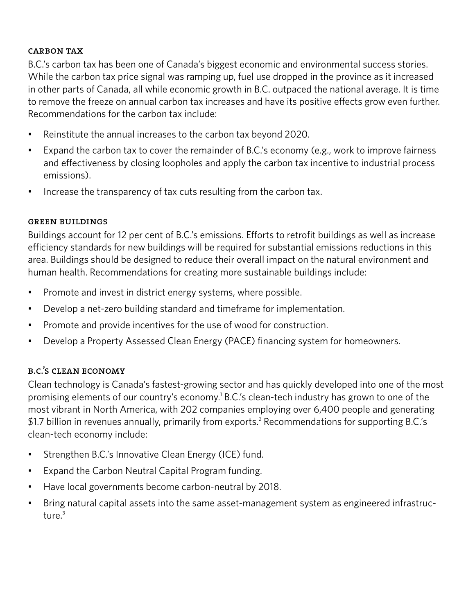#### carbon tax

B.C.'s carbon tax has been one of Canada's biggest economic and environmental success stories. While the carbon tax price signal was ramping up, fuel use dropped in the province as it increased in other parts of Canada, all while economic growth in B.C. outpaced the national average. It is time to remove the freeze on annual carbon tax increases and have its positive effects grow even further. Recommendations for the carbon tax include:

- Reinstitute the annual increases to the carbon tax beyond 2020.
- Expand the carbon tax to cover the remainder of B.C.'s economy (e.g., work to improve fairness and effectiveness by closing loopholes and apply the carbon tax incentive to industrial process emissions).
- Increase the transparency of tax cuts resulting from the carbon tax.

#### green buildings

Buildings account for 12 per cent of B.C.'s emissions. Efforts to retrofit buildings as well as increase efficiency standards for new buildings will be required for substantial emissions reductions in this area. Buildings should be designed to reduce their overall impact on the natural environment and human health. Recommendations for creating more sustainable buildings include:

- Promote and invest in district energy systems, where possible.
- Develop a net-zero building standard and timeframe for implementation.
- Promote and provide incentives for the use of wood for construction.
- Develop a Property Assessed Clean Energy (PACE) financing system for homeowners.

#### b.c.'s clean economy

Clean technology is Canada's fastest-growing sector and has quickly developed into one of the most promising elements of our country's economy.<sup>1</sup> B.C.'s clean-tech industry has grown to one of the most vibrant in North America, with 202 companies employing over 6,400 people and generating \$1.7 billion in revenues annually, primarily from exports.<sup>2</sup> Recommendations for supporting B.C.'s clean-tech economy include:

- Strengthen B.C.'s Innovative Clean Energy (ICE) fund.
- • Expand the Carbon Neutral Capital Program funding.
- Have local governments become carbon-neutral by 2018.
- Bring natural capital assets into the same asset-management system as engineered infrastructure.<sup>3</sup>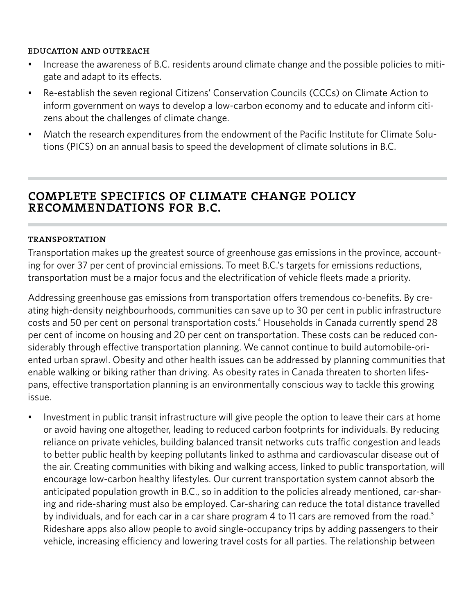#### education and outreach

- Increase the awareness of B.C. residents around climate change and the possible policies to mitigate and adapt to its effects.
- Re-establish the seven regional Citizens' Conservation Councils (CCCs) on Climate Action to inform government on ways to develop a low-carbon economy and to educate and inform citizens about the challenges of climate change.
- Match the research expenditures from the endowment of the Pacific Institute for Climate Solutions (PICS) on an annual basis to speed the development of climate solutions in B.C.

# complete specifics of climate change policy recommendations for b.c.

#### transportation

Transportation makes up the greatest source of greenhouse gas emissions in the province, accounting for over 37 per cent of provincial emissions. To meet B.C.'s targets for emissions reductions, transportation must be a major focus and the electrification of vehicle fleets made a priority.

Addressing greenhouse gas emissions from transportation offers tremendous co-benefits. By creating high-density neighbourhoods, communities can save up to 30 per cent in public infrastructure costs and 50 per cent on personal transportation costs.<sup>4</sup> Households in Canada currently spend 28 per cent of income on housing and 20 per cent on transportation. These costs can be reduced considerably through effective transportation planning. We cannot continue to build automobile-oriented urban sprawl. Obesity and other health issues can be addressed by planning communities that enable walking or biking rather than driving. As obesity rates in Canada threaten to shorten lifespans, effective transportation planning is an environmentally conscious way to tackle this growing issue.

• Investment in public transit infrastructure will give people the option to leave their cars at home or avoid having one altogether, leading to reduced carbon footprints for individuals. By reducing reliance on private vehicles, building balanced transit networks cuts traffic congestion and leads to better public health by keeping pollutants linked to asthma and cardiovascular disease out of the air. Creating communities with biking and walking access, linked to public transportation, will encourage low-carbon healthy lifestyles. Our current transportation system cannot absorb the anticipated population growth in B.C., so in addition to the policies already mentioned, car-sharing and ride-sharing must also be employed. Car-sharing can reduce the total distance travelled by individuals, and for each car in a car share program 4 to 11 cars are removed from the road.<sup>5</sup> Rideshare apps also allow people to avoid single-occupancy trips by adding passengers to their vehicle, increasing efficiency and lowering travel costs for all parties. The relationship between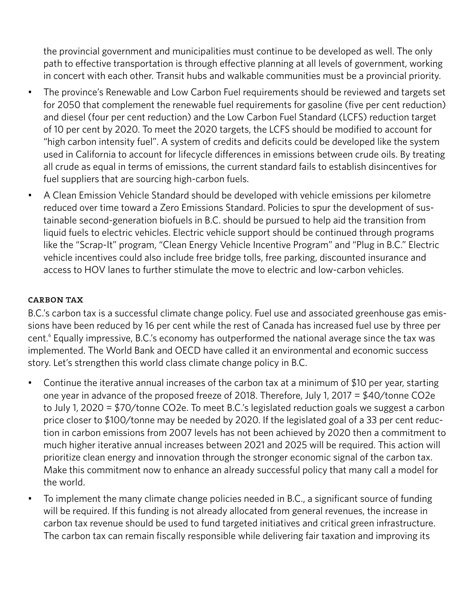the provincial government and municipalities must continue to be developed as well. The only path to effective transportation is through effective planning at all levels of government, working in concert with each other. Transit hubs and walkable communities must be a provincial priority.

- The province's Renewable and Low Carbon Fuel requirements should be reviewed and targets set for 2050 that complement the renewable fuel requirements for gasoline (five per cent reduction) and diesel (four per cent reduction) and the Low Carbon Fuel Standard (LCFS) reduction target of 10 per cent by 2020. To meet the 2020 targets, the LCFS should be modified to account for "high carbon intensity fuel". A system of credits and deficits could be developed like the system used in California to account for lifecycle differences in emissions between crude oils. By treating all crude as equal in terms of emissions, the current standard fails to establish disincentives for fuel suppliers that are sourcing high-carbon fuels.
- A Clean Emission Vehicle Standard should be developed with vehicle emissions per kilometre reduced over time toward a Zero Emissions Standard. Policies to spur the development of sustainable second-generation biofuels in B.C. should be pursued to help aid the transition from liquid fuels to electric vehicles. Electric vehicle support should be continued through programs like the "Scrap-It" program, "Clean Energy Vehicle Incentive Program" and "Plug in B.C." Electric vehicle incentives could also include free bridge tolls, free parking, discounted insurance and access to HOV lanes to further stimulate the move to electric and low-carbon vehicles.

#### carbon tax

B.C.'s carbon tax is a successful climate change policy. Fuel use and associated greenhouse gas emissions have been reduced by 16 per cent while the rest of Canada has increased fuel use by three per cent.<sup>6</sup> Equally impressive, B.C.'s economy has outperformed the national average since the tax was implemented. The World Bank and OECD have called it an environmental and economic success story. Let's strengthen this world class climate change policy in B.C.

- Continue the iterative annual increases of the carbon tax at a minimum of \$10 per year, starting one year in advance of the proposed freeze of 2018. Therefore, July 1, 2017 = \$40/tonne CO2e to July 1, 2020 = \$70/tonne CO2e. To meet B.C.'s legislated reduction goals we suggest a carbon price closer to \$100/tonne may be needed by 2020. If the legislated goal of a 33 per cent reduction in carbon emissions from 2007 levels has not been achieved by 2020 then a commitment to much higher iterative annual increases between 2021 and 2025 will be required. This action will prioritize clean energy and innovation through the stronger economic signal of the carbon tax. Make this commitment now to enhance an already successful policy that many call a model for the world.
- To implement the many climate change policies needed in B.C., a significant source of funding will be required. If this funding is not already allocated from general revenues, the increase in carbon tax revenue should be used to fund targeted initiatives and critical green infrastructure. The carbon tax can remain fiscally responsible while delivering fair taxation and improving its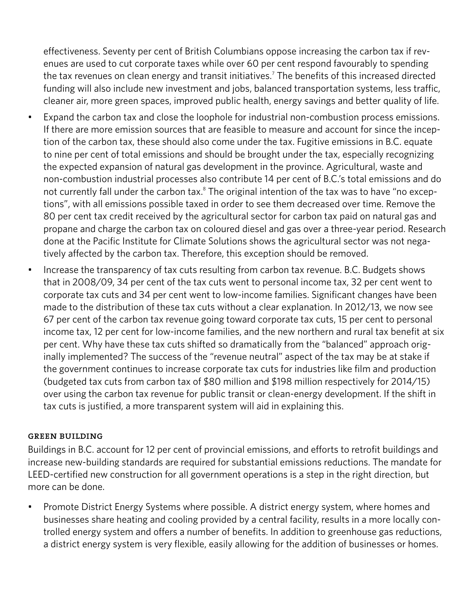effectiveness. Seventy per cent of British Columbians oppose increasing the carbon tax if revenues are used to cut corporate taxes while over 60 per cent respond favourably to spending the tax revenues on clean energy and transit initiatives.7 The benefits of this increased directed funding will also include new investment and jobs, balanced transportation systems, less traffic, cleaner air, more green spaces, improved public health, energy savings and better quality of life.

- Expand the carbon tax and close the loophole for industrial non-combustion process emissions. If there are more emission sources that are feasible to measure and account for since the inception of the carbon tax, these should also come under the tax. Fugitive emissions in B.C. equate to nine per cent of total emissions and should be brought under the tax, especially recognizing the expected expansion of natural gas development in the province. Agricultural, waste and non-combustion industrial processes also contribute 14 per cent of B.C.'s total emissions and do not currently fall under the carbon tax.<sup>8</sup> The original intention of the tax was to have "no exceptions", with all emissions possible taxed in order to see them decreased over time. Remove the 80 per cent tax credit received by the agricultural sector for carbon tax paid on natural gas and propane and charge the carbon tax on coloured diesel and gas over a three-year period. Research done at the Pacific Institute for Climate Solutions shows the agricultural sector was not negatively affected by the carbon tax. Therefore, this exception should be removed.
- Increase the transparency of tax cuts resulting from carbon tax revenue. B.C. Budgets shows that in 2008/09, 34 per cent of the tax cuts went to personal income tax, 32 per cent went to corporate tax cuts and 34 per cent went to low-income families. Significant changes have been made to the distribution of these tax cuts without a clear explanation. In 2012/13, we now see 67 per cent of the carbon tax revenue going toward corporate tax cuts, 15 per cent to personal income tax, 12 per cent for low-income families, and the new northern and rural tax benefit at six per cent. Why have these tax cuts shifted so dramatically from the "balanced" approach originally implemented? The success of the "revenue neutral" aspect of the tax may be at stake if the government continues to increase corporate tax cuts for industries like film and production (budgeted tax cuts from carbon tax of \$80 million and \$198 million respectively for 2014/15) over using the carbon tax revenue for public transit or clean-energy development. If the shift in tax cuts is justified, a more transparent system will aid in explaining this.

#### green building

Buildings in B.C. account for 12 per cent of provincial emissions, and efforts to retrofit buildings and increase new-building standards are required for substantial emissions reductions. The mandate for LEED-certified new construction for all government operations is a step in the right direction, but more can be done.

Promote District Energy Systems where possible. A district energy system, where homes and businesses share heating and cooling provided by a central facility, results in a more locally controlled energy system and offers a number of benefits. In addition to greenhouse gas reductions, a district energy system is very flexible, easily allowing for the addition of businesses or homes.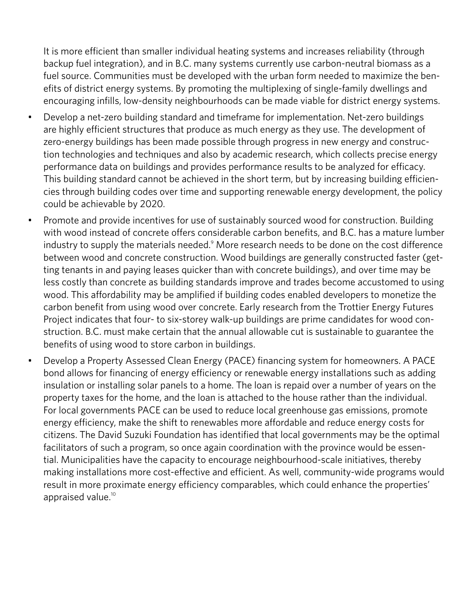It is more efficient than smaller individual heating systems and increases reliability (through backup fuel integration), and in B.C. many systems currently use carbon-neutral biomass as a fuel source. Communities must be developed with the urban form needed to maximize the benefits of district energy systems. By promoting the multiplexing of single-family dwellings and encouraging infills, low-density neighbourhoods can be made viable for district energy systems.

- Develop a net-zero building standard and timeframe for implementation. Net-zero buildings are highly efficient structures that produce as much energy as they use. The development of zero-energy buildings has been made possible through progress in new energy and construction technologies and techniques and also by academic research, which collects precise energy performance data on buildings and provides performance results to be analyzed for efficacy. This building standard cannot be achieved in the short term, but by increasing building efficiencies through building codes over time and supporting renewable energy development, the policy could be achievable by 2020.
- Promote and provide incentives for use of sustainably sourced wood for construction. Building with wood instead of concrete offers considerable carbon benefits, and B.C. has a mature lumber industry to supply the materials needed.<sup>9</sup> More research needs to be done on the cost difference between wood and concrete construction. Wood buildings are generally constructed faster (getting tenants in and paying leases quicker than with concrete buildings), and over time may be less costly than concrete as building standards improve and trades become accustomed to using wood. This affordability may be amplified if building codes enabled developers to monetize the carbon benefit from using wood over concrete. Early research from the Trottier Energy Futures Project indicates that four- to six-storey walk-up buildings are prime candidates for wood construction. B.C. must make certain that the annual allowable cut is sustainable to guarantee the benefits of using wood to store carbon in buildings.
- Develop a Property Assessed Clean Energy (PACE) financing system for homeowners. A PACE bond allows for financing of energy efficiency or renewable energy installations such as adding insulation or installing solar panels to a home. The loan is repaid over a number of years on the property taxes for the home, and the loan is attached to the house rather than the individual. For local governments PACE can be used to reduce local greenhouse gas emissions, promote energy efficiency, make the shift to renewables more affordable and reduce energy costs for citizens. The David Suzuki Foundation has identified that local governments may be the optimal facilitators of such a program, so once again coordination with the province would be essential. Municipalities have the capacity to encourage neighbourhood-scale initiatives, thereby making installations more cost-effective and efficient. As well, community-wide programs would result in more proximate energy efficiency comparables, which could enhance the properties' appraised value.<sup>10</sup>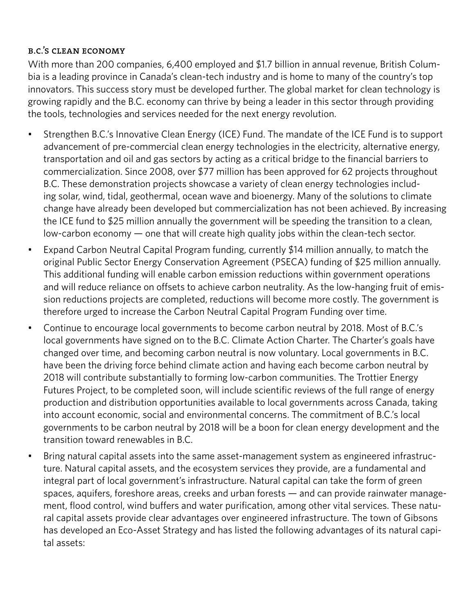### b.c.'s clean economy

With more than 200 companies, 6,400 employed and \$1.7 billion in annual revenue, British Columbia is a leading province in Canada's clean-tech industry and is home to many of the country's top innovators. This success story must be developed further. The global market for clean technology is growing rapidly and the B.C. economy can thrive by being a leader in this sector through providing the tools, technologies and services needed for the next energy revolution.

- Strengthen B.C.'s Innovative Clean Energy (ICE) Fund. The mandate of the ICE Fund is to support advancement of pre-commercial clean energy technologies in the electricity, alternative energy, transportation and oil and gas sectors by acting as a critical bridge to the financial barriers to commercialization. Since 2008, over \$77 million has been approved for 62 projects throughout B.C. These demonstration projects showcase a variety of clean energy technologies including solar, wind, tidal, geothermal, ocean wave and bioenergy. Many of the solutions to climate change have already been developed but commercialization has not been achieved. By increasing the ICE fund to \$25 million annually the government will be speeding the transition to a clean, low-carbon economy — one that will create high quality jobs within the clean-tech sector.
- Expand Carbon Neutral Capital Program funding, currently \$14 million annually, to match the original Public Sector Energy Conservation Agreement (PSECA) funding of \$25 million annually. This additional funding will enable carbon emission reductions within government operations and will reduce reliance on offsets to achieve carbon neutrality. As the low-hanging fruit of emission reductions projects are completed, reductions will become more costly. The government is therefore urged to increase the Carbon Neutral Capital Program Funding over time.
- Continue to encourage local governments to become carbon neutral by 2018. Most of B.C.'s local governments have signed on to the B.C. Climate Action Charter. The Charter's goals have changed over time, and becoming carbon neutral is now voluntary. Local governments in B.C. have been the driving force behind climate action and having each become carbon neutral by 2018 will contribute substantially to forming low-carbon communities. The Trottier Energy Futures Project, to be completed soon, will include scientific reviews of the full range of energy production and distribution opportunities available to local governments across Canada, taking into account economic, social and environmental concerns. The commitment of B.C.'s local governments to be carbon neutral by 2018 will be a boon for clean energy development and the transition toward renewables in B.C.
- Bring natural capital assets into the same asset-management system as engineered infrastructure. Natural capital assets, and the ecosystem services they provide, are a fundamental and integral part of local government's infrastructure. Natural capital can take the form of green spaces, aquifers, foreshore areas, creeks and urban forests — and can provide rainwater management, flood control, wind buffers and water purification, among other vital services. These natural capital assets provide clear advantages over engineered infrastructure. The town of Gibsons has developed an Eco-Asset Strategy and has listed the following advantages of its natural capital assets: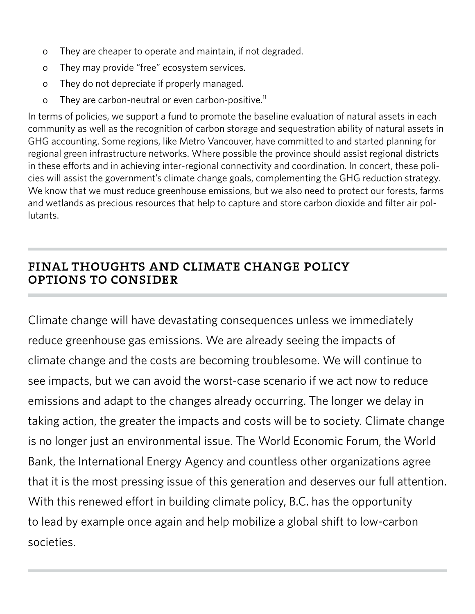- o They are cheaper to operate and maintain, if not degraded.
- o They may provide "free" ecosystem services.
- o They do not depreciate if properly managed.
- o They are carbon-neutral or even carbon-positive.<sup>11</sup>

In terms of policies, we support a fund to promote the baseline evaluation of natural assets in each community as well as the recognition of carbon storage and sequestration ability of natural assets in GHG accounting. Some regions, like Metro Vancouver, have committed to and started planning for regional green infrastructure networks. Where possible the province should assist regional districts in these efforts and in achieving inter-regional connectivity and coordination. In concert, these policies will assist the government's climate change goals, complementing the GHG reduction strategy. We know that we must reduce greenhouse emissions, but we also need to protect our forests, farms and wetlands as precious resources that help to capture and store carbon dioxide and filter air pollutants.

# final thoughts and climate change policy options to consider

Climate change will have devastating consequences unless we immediately reduce greenhouse gas emissions. We are already seeing the impacts of climate change and the costs are becoming troublesome. We will continue to see impacts, but we can avoid the worst-case scenario if we act now to reduce emissions and adapt to the changes already occurring. The longer we delay in taking action, the greater the impacts and costs will be to society. Climate change is no longer just an environmental issue. The World Economic Forum, the World Bank, the International Energy Agency and countless other organizations agree that it is the most pressing issue of this generation and deserves our full attention. With this renewed effort in building climate policy, B.C. has the opportunity to lead by example once again and help mobilize a global shift to low-carbon societies.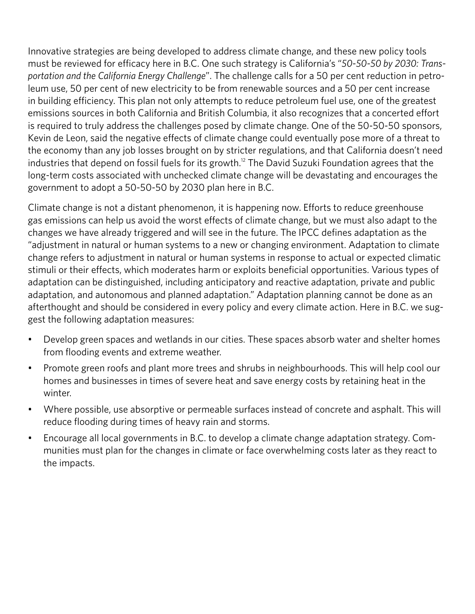Innovative strategies are being developed to address climate change, and these new policy tools must be reviewed for efficacy here in B.C. One such strategy is California's "*50-50-50 by 2030: Transportation and the California Energy Challenge*". The challenge calls for a 50 per cent reduction in petroleum use, 50 per cent of new electricity to be from renewable sources and a 50 per cent increase in building efficiency. This plan not only attempts to reduce petroleum fuel use, one of the greatest emissions sources in both California and British Columbia, it also recognizes that a concerted effort is required to truly address the challenges posed by climate change. One of the 50-50-50 sponsors, Kevin de Leon, said the negative effects of climate change could eventually pose more of a threat to the economy than any job losses brought on by stricter regulations, and that California doesn't need industries that depend on fossil fuels for its growth.<sup>12</sup> The David Suzuki Foundation agrees that the long-term costs associated with unchecked climate change will be devastating and encourages the government to adopt a 50-50-50 by 2030 plan here in B.C.

Climate change is not a distant phenomenon, it is happening now. Efforts to reduce greenhouse gas emissions can help us avoid the worst effects of climate change, but we must also adapt to the changes we have already triggered and will see in the future. The IPCC defines adaptation as the "adjustment in natural or human systems to a new or changing environment. Adaptation to climate change refers to adjustment in natural or human systems in response to actual or expected climatic stimuli or their effects, which moderates harm or exploits beneficial opportunities. Various types of adaptation can be distinguished, including anticipatory and reactive adaptation, private and public adaptation, and autonomous and planned adaptation." Adaptation planning cannot be done as an afterthought and should be considered in every policy and every climate action. Here in B.C. we suggest the following adaptation measures:

- Develop green spaces and wetlands in our cities. These spaces absorb water and shelter homes from flooding events and extreme weather.
- Promote green roofs and plant more trees and shrubs in neighbourhoods. This will help cool our homes and businesses in times of severe heat and save energy costs by retaining heat in the winter.
- Where possible, use absorptive or permeable surfaces instead of concrete and asphalt. This will reduce flooding during times of heavy rain and storms.
- Encourage all local governments in B.C. to develop a climate change adaptation strategy. Communities must plan for the changes in climate or face overwhelming costs later as they react to the impacts.